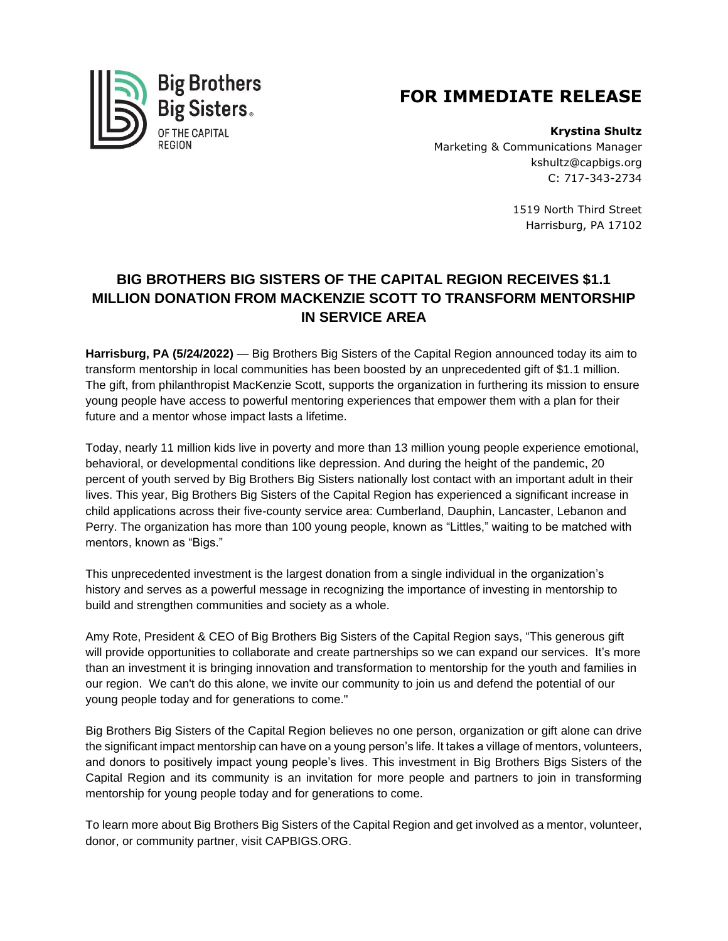

## **FOR IMMEDIATE RELEASE**

**Krystina Shultz** Marketing & Communications Manager kshultz@capbigs.org C: 717-343-2734

> 1519 North Third Street Harrisburg, PA 17102

## **BIG BROTHERS BIG SISTERS OF THE CAPITAL REGION RECEIVES \$1.1 MILLION DONATION FROM MACKENZIE SCOTT TO TRANSFORM MENTORSHIP IN SERVICE AREA**

**Harrisburg, PA (5/24/2022)** — Big Brothers Big Sisters of the Capital Region announced today its aim to transform mentorship in local communities has been boosted by an unprecedented gift of \$1.1 million. The gift, from philanthropist MacKenzie Scott, supports the organization in furthering its mission to ensure young people have access to powerful mentoring experiences that empower them with a plan for their future and a mentor whose impact lasts a lifetime.

Today, nearly 11 million kids live in poverty and more than 13 million young people experience emotional, behavioral, or developmental conditions like depression. And during the height of the pandemic, 20 percent of youth served by Big Brothers Big Sisters nationally lost contact with an important adult in their lives. This year, Big Brothers Big Sisters of the Capital Region has experienced a significant increase in child applications across their five-county service area: Cumberland, Dauphin, Lancaster, Lebanon and Perry. The organization has more than 100 young people, known as "Littles," waiting to be matched with mentors, known as "Bigs."

This unprecedented investment is the largest donation from a single individual in the organization's history and serves as a powerful message in recognizing the importance of investing in mentorship to build and strengthen communities and society as a whole.

Amy Rote, President & CEO of Big Brothers Big Sisters of the Capital Region says, "This generous gift will provide opportunities to collaborate and create partnerships so we can expand our services. It's more than an investment it is bringing innovation and transformation to mentorship for the youth and families in our region. We can't do this alone, we invite our community to join us and defend the potential of our young people today and for generations to come."

Big Brothers Big Sisters of the Capital Region believes no one person, organization or gift alone can drive the significant impact mentorship can have on a young person's life. It takes a village of mentors, volunteers, and donors to positively impact young people's lives. This investment in Big Brothers Bigs Sisters of the Capital Region and its community is an invitation for more people and partners to join in transforming mentorship for young people today and for generations to come.

To learn more about Big Brothers Big Sisters of the Capital Region and get involved as a mentor, volunteer, donor, or community partner, visit CAPBIGS.ORG.